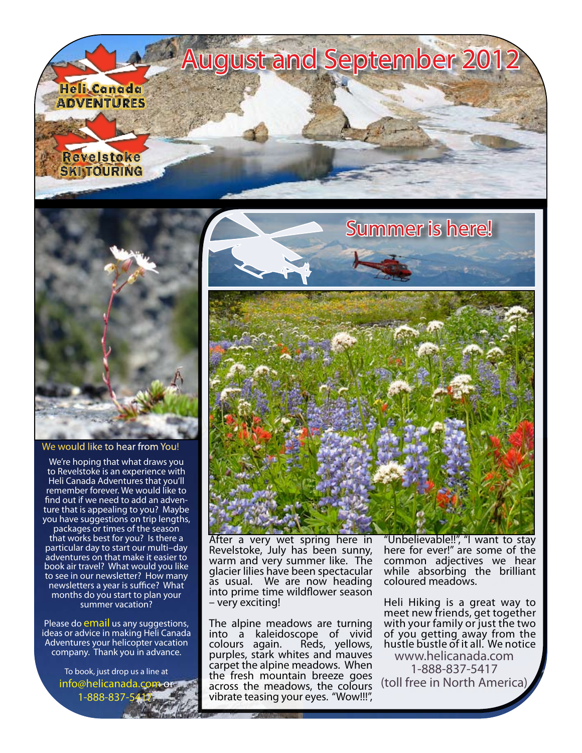



We would like to hear from You!

We're hoping that what draws you to Revelstoke is an experience with Heli Canada Adventures that you'll remember forever. We would like to find out if we need to add an adventure that is appealing to you? Maybe you have suggestions on trip lengths,

packages or times of the season that works best for you? Is there a particular day to start our multi–day adventures on that make it easier to book air travel? What would you like to see in our newsletter? How many newsletters a year is suffice? What months do you start to plan your summer vacation?

Please do [email](mailto:info@helicanada.com) us any suggestions, ideas or advice in making Heli Canada Adventures your helicopter vacation company. Thank you in advance.

> To book, just drop us a line at [info@helicanada.com](mailto:info@helicanada.com) or 1-888-837-5417.



After a very wet spring here in Revelstoke, July has been sunny, warm and very summer like. The glacier lilies have been spectacular as usual. We are now heading into prime time wildflower season – very exciting!

The alpine meadows are turning into a kaleidoscope of vivid colours again. Reds, yellows, purples, stark whites and mauves carpet the alpine meadows. When the fresh mountain breeze goes across the meadows, the colours vibrate teasing your eyes. "Wow!!!",

"Unbelievable!!", "I want to stay here for ever!" are some of the common adjectives we hear while absorbing the brilliant coloured meadows.

Heli Hiking is a great way to meet new friends, get together with your family or just the two of you getting away from the hustle bustle of it all. We notice [www.helicanada.com](http://www.helicanada.com) 1-888-837-5417 (toll free in North America)